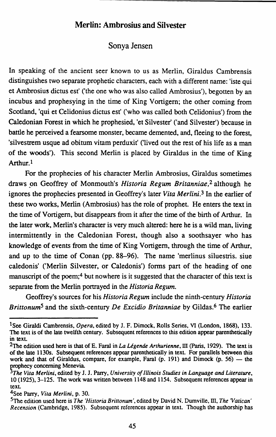## **Merlin: Ambrosius and Silvester**

## Sonya Jensen

In speaking of the ancient seer known to us as Merlin, Giraldus Cambrensis distinguishes two separate prophetic characters, each with a different name: 'iste qui et Ambrosius dictus est' ('the one who was also called Ambrosius'), begotten by an incubus and prophesying in the time of King Vortigern; the other coming from Scotland, 'qui et Celidonius dictus est' ('who was called both Celidonius') from the Caledonian Forest in which he prophesied, 'et Silvester' ('and Silvester') because in battle he perceived a fearsome monster, became demented, and, fleeing to the forest, 'silvestrem usque ad obitum vitam perduxit' ('lived out the rest of his life as a man of the woods'). This second Merlin is placed by Giraldus in the time of King Arthur.<sup>1</sup>

For the prophecies of his character Merlin Ambrosius, Giraldus sometimes draws \_on Geoffrey of Monmouth's *Historia Regum Britanniae,2* although he ignores the prophecies presented in Geoffrey's later *Vita Merlini.3* In the earlier of these two works, Merlin (Ambrosius) has the role of prophet. He enters the text in the time of Vortigern, but disappears from it after the time of the birth of Arthur. In the later work, Merlin's character is very much altered: here he is a wild man, living intermittently in the Caledonian Forest, though also a soothsayer who has knowledge of events from the time of King Vortigem, through the time of Arthur, and up to the time of Conan (pp. 88-96). The name 'merlinus siluestris. siue caledonis' ('Merlin Silvester, or Caledonis') forms part of the heading of one manuscript of the poem;<sup>4</sup> but nowhere is it suggested that the character of this text is separate from the Merlin portrayed in the *Historia Regum.* 

Geoffrey's sources for his *Historia Regum* include the ninth-century *Historia Brittonum5* and the sixth-century *De Excidio Britanniae* by Gildas.6 The earlier

<sup>&</sup>lt;sup>1</sup>See Giraldi Cambrensis, *Opera*, edited by J. F. Dimock, Rolls Series, VI (London, 1868), 133. The text is of the late twelfth century. Subsequent references to this edition appear parenthetically in text.

<sup>2</sup>The edition used here is that of E. Faral in *La Ugende Arthurienne,* III (Paris, 1929). The text is of the late 1130s. Subsequent references appear parenthetically in text. For parallels between this work and that of Giraldus, compare, for example, Faral  $(p. 191)$  and Dimock  $(p. 56)$  - the prophecy concerning Menevia.

*The Vita Merlini,* edited by J. J. Parry, *University of Illinois Studies in Language and Literature,*  lO (1925), 3-125. The work was written between 1148 and 1154. Subsequent references appear in text.

<sup>4</sup>see Parry, *Vita Merlini,* p. 30.

<sup>5</sup>The edition used here is *The 'Historia Brittonum',* edited by David N. Dumville, III, *The Vatican' Recension* (Cambridge, 1985). Subsequent references appear in text. Though the authorship has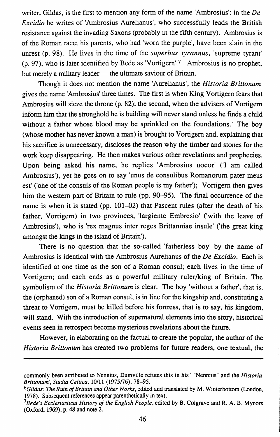writer, Gildas, is the first to mention any form of the name 'Ambrosius': in the *De Excidio* he writes of 'Ambrosius Aurelianus', who successfully leads the British resistance against the invading Saxons (probably in the fifth century). Ambrosius is of the Roman race; his parents, who had 'worn the purple', have been slain in the unrest (p. 98). He lives in the time of the *superbus tyrannus,* 'supreme tyrant' (p. 97), who is later identified by Bede as 'Vortigem'.7 Ambrosius is no prophet, but merely a military leader — the ultimate saviour of Britain.

Though it does not mention the name 'Aurelianus', the *Historia Brittonum* gives the name 'Ambrosius' three times. The first is when King Vortigem fears that Ambrosius will sieze the throne (p. 82); the second, when the advisers of Vortigem inform him that the stronghold he is building will never stand unless he finds a child without a father whose blood may be sprinkled on the foundations. The boy (whose mother has never known a man) is brought to Vortigem and, explaining that his sacrifice is unnecessary, discloses the reason why the timber and stones for the work keep disappearing. He then makes various other revelations and prophecies. Upon being asked his name, he replies 'Ambrosius uocor' ('I am called Ambrosius'), yet he goes on to say 'unus de consulibus Romanorum pater meus est' ('one of the consuls of the Roman people is my father'); Vortigem then gives him the western part of Britain to rule (pp. 90-95). The final occurrence of the name is when it is stated (pp. 101-02) that Pascent rules (after the death of his father, Vortigem) in two provinces, 'largiente Embresio' ('with the leave of Ambrosius'), who is 'rex magnus inter reges Brittanniae insule' ('the great king amongst the kings in the island of Britain').

There is no question that the so-called 'fatherless boy' by the name of Ambrosius is identical with the Ambrosius Aurelianus of the *De Excidio.* Each is identified at one time as the son of a Roman consul; each lives in the time of Vortigern; and each ends as a powerful military ruler/king of Britain. The symbolism of the *Historia Brittonum* is clear. The boy 'without a father', that is, the (orphaned) son of a Roman consul, is in line for the kingship and, constituting a threat to Vortigem, must be killed before his fortress, that is to say, his kingdom, will stand. With the introduction of supernatural elements into the story, historical events seen in retrospect become mysterious revelations about the future.

However, in elaborating on the factual to create the popular, the author of the *Historia Brittonum* has created two problems for future readers, one textual, the

commonly been attributed to Nennius, Dumville refutes this in his · "Nennius" and the *Historia*  Brittonum', Studia Celtica, 10/11 (1975/76), 78-95.

*<sup>6</sup>Gildas: The Ruin of Britain* and *Other Works,* edited and translated by M. Winterbottom (London, 1978). Subsequent references appear parenthetically in text.

*<sup>1</sup>Bede's Ecclesiastical History of the English People,* edited by B. Colgrave and R. A. B. Mynors (Oxford, 1969), p. 48 and note 2.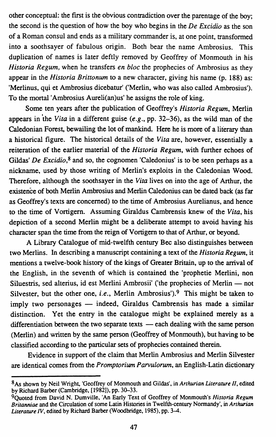other conceptual: the first is the obvious contradiction over the parentage of the boy; the second is the question of how the boy who begins in the *De Excidio* as the son of a Roman consul and ends as a military commander is, at one point, transformed into a soothsayer of fabulous origin. Both bear the name Ambrosius. This duplication of names is later deftly removed by Geoffrey of Monmouth in his *Historia Regum,* when he transfers *en bloc* the prophecies of Ambrosius as they appear in the *Historia Brittonum* to a new character, giving his name (p. 188) as: 'Merlinus, qui et Ambrosius dicebatur' ('Merlin, who was also called Ambrosius'). To the mortal'Ambrosius Aureli(an)us' he assigns the role of king.

Some ten years after the publication of Geoffrey's *Historia Regum,* Merlin appears in 'the *Vita* in a different guise *(e.g.,* pp. 32-36), as the wild man of the Caledonian Forest, bewailing the lot of mankind. Here he is more of a literary than a historical figure. The historical details of the *Vita* are, however, essentially a reiteration of the earlier material of the *Historia Regum,* with further echoes of Gildas' *De Excidio*,<sup>8</sup> and so, the cognomen 'Caledonius' is to be seen perhaps as a nickname, used by those writing of Merlin's exploits in the Caledonian Wood. Therefore, although the soothsayer in the *Vita* lives on into the age of Arthur, the existence of both Merlin Ambrosius and Merlin Caledonius can be dated back (as far as Geoffrey's texts are concerned) to the time of Ambrosius Aurelianus, and hence to the time of Vortigem. Assuming Giraldus Cambrensis knew of the *Vita,* his depiction of a second Merlin might be a deliberate attempt to avoid having his character span the time from the reign of Vortigern to that of Arthur, or beyond.

A Library Catalogue of mid-twelfth century Bee also distinguishes between two Merlins. In describing a manuscript containing a text of the *Historia Regum,* it mentions a twelve-book history of the kings of Greater Britain, up to the arrival of the English, in the seventh of which is contained the 'prophetie Merlini, non Siluestris, sed alterius, id est Merlini Ambrosii' ('the prophecies of Merlin - not Silvester, but the other one, *i.e.*, Merlin Ambrosius').<sup>9</sup> This might be taken to imply two personages — indeed, Giraldus Cambrensis has made a similar distinction. Yet the entry in the catalogue might be explained merely as a differentiation between the two separate texts  $-$  each dealing with the same person (Merlin) and written by the same person (Geoffrey of Monmouth), but having to be classified according to the particular sets of prophecies contained therein.

Evidence in support of the claim that Merlin Ambrosius and Merlin Silvester are identical comes from the *Promptorium Parvu/orum,* an English-Latin dictionary

<sup>8</sup> As shown by Neil Wright, 'Geoffrey of Monmouth and Gildas', in *Arthurian Literature II,* edited by Richard Barber (Cambridge, [1982]), pp. 30-33.

<sup>9</sup>Quoted from David N. Dumville, 'An Early Text of Geoffrey of Monmouth's *Historia Regum Britanniae* and the Circulation of some Latin Histories in Twelfth-century Normandy', in *Arthurian Literature IV,* edited by Richard Barber (Woodbridge, 1985), pp. 3-4.